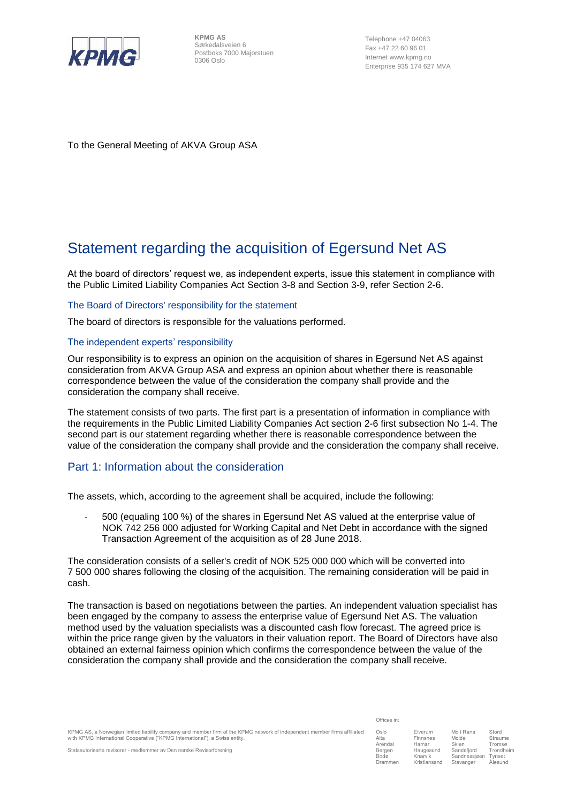

**KPMG AS** Sørkedalsveien 6 Postboks 7000 Majorstuen 0306 Oslo

Telephone +47 04063 Fax +47 22 60 96 01 Internet www.kpmg.no Enterprise 935 174 627 MVA

To the General Meeting of AKVA Group ASA

# Statement regarding the acquisition of Egersund Net AS

At the board of directors' request we, as independent experts, issue this statement in compliance with the Public Limited Liability Companies Act Section 3-8 and Section 3-9, refer Section 2-6.

#### The Board of Directors' responsibility for the statement

The board of directors is responsible for the valuations performed.

## The independent experts' responsibility

Our responsibility is to express an opinion on the acquisition of shares in Egersund Net AS against consideration from AKVA Group ASA and express an opinion about whether there is reasonable correspondence between the value of the consideration the company shall provide and the consideration the company shall receive*.* 

The statement consists of two parts. The first part is a presentation of information in compliance with the requirements in the Public Limited Liability Companies Act section 2-6 first subsection No 1-4. The second part is our statement regarding whether there is reasonable correspondence between the value of the consideration the company shall provide and the consideration the company shall receive*.*

## Part 1: Information about the consideration

The assets, which, according to the agreement shall be acquired, include the following:

- 500 (equaling 100 %) of the shares in Egersund Net AS valued at the enterprise value of NOK 742 256 000 adjusted for Working Capital and Net Debt in accordance with the signed Transaction Agreement of the acquisition as of 28 June 2018.

The consideration consists of a seller's credit of NOK 525 000 000 which will be converted into 7 500 000 shares following the closing of the acquisition. The remaining consideration will be paid in cash.

The transaction is based on negotiations between the parties. An independent valuation specialist has been engaged by the company to assess the enterprise value of Egersund Net AS. The valuation method used by the valuation specialists was a discounted cash flow forecast. The agreed price is within the price range given by the valuators in their valuation report. The Board of Directors have also obtained an external fairness opinion which confirms the correspondence between the value of the consideration the company shall provide and the consideration the company shall receive.

| Oslo    | Elverum      | Mo i Rana    | Stord     |
|---------|--------------|--------------|-----------|
| Alta    | Finnsnes     | Molde        | Straume   |
| Arendal | Hamar        | Skien        | Tromsø    |
| Bergen  | Haugesund    | Sandefjord   | Trondheim |
| Bodø    | Knarvik      | Sandnessjøen | Tynset    |
| Drammen | Kristiansand | Stavanger    | Ålesund   |